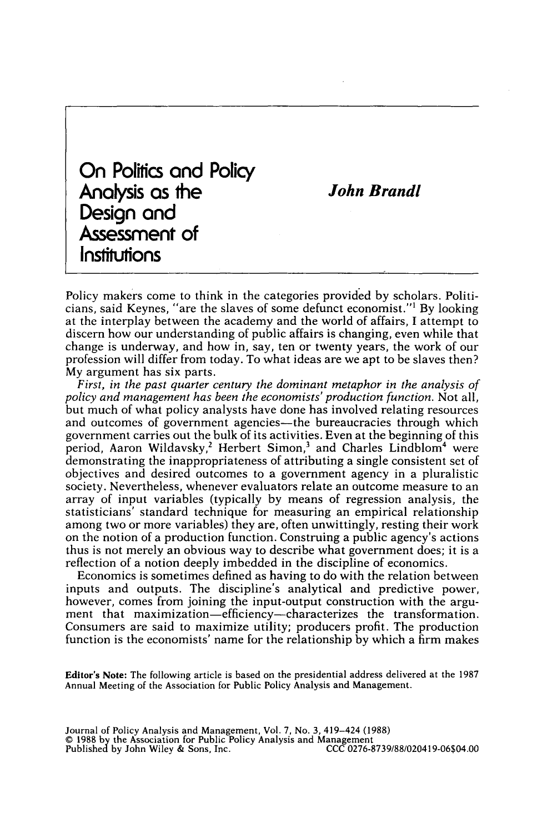On Politics **and** Policy **Analysrs as** he **Design and**  Assessment of **Institutions** 

*John Brand1* 

Policy makers come to think in the categories provided by scholars. Politicians, said Keynes, "are the slaves of some defunct economist."' By looking at the interplay between the academy and the world of affairs, **I** attempt to discern how our understanding of public affairs is changing, even while that change is underway, and how in, say, ten or twenty years, the work of our profession will differ from today. To what ideas are we apt to be slaves then? My argument has six parts.

*First, in the past quarter century the dominant metaphor in the analysis of policy and management has been the economists' production function.* Not all, but much of what policy analysts have done has involved relating resources and outcomes of government agencies—the bureaucracies through which government carries out the bulk of its activities. Even at the beginning of this period, Aaron Wildavsky,<sup>2</sup> Herbert Simon,<sup>3</sup> and Charles Lindblom<sup>4</sup> were demonstrating the inappropriateness of attributing a single consistent set of objectives and desired outcomes to a government agency in a pluralistic society. Nevertheless, whenever evaluators relate an outcome measure to an array of input variables (typically by means of regression analysis, the statisticians' standard technique for measuring an empirical relationship among two or more variables) they are, often unwittingly, resting their work on the notion of a production function. Construing a public agency's actions thus is not merely an obvious way to describe what government does; it is a reflection of a notion deeply imbedded in the discipline **of** economics.

Economics is sometimes defined as having to do with the relation between inputs and outputs. The discipline's analytical and predictive power, however, comes from joining the input-output construction with the argument that maximization-efficiency-characterizes the transformation. Consumers are said to maximize utility; producers profit. The production function is the economists' name for the relationship by which a firm makes

**Editor's Note: The following article is based** on **the presidential address delivered at the** *1987*  **Annual Meeting** of **the Association** for **Public Policy Analysis and Management.**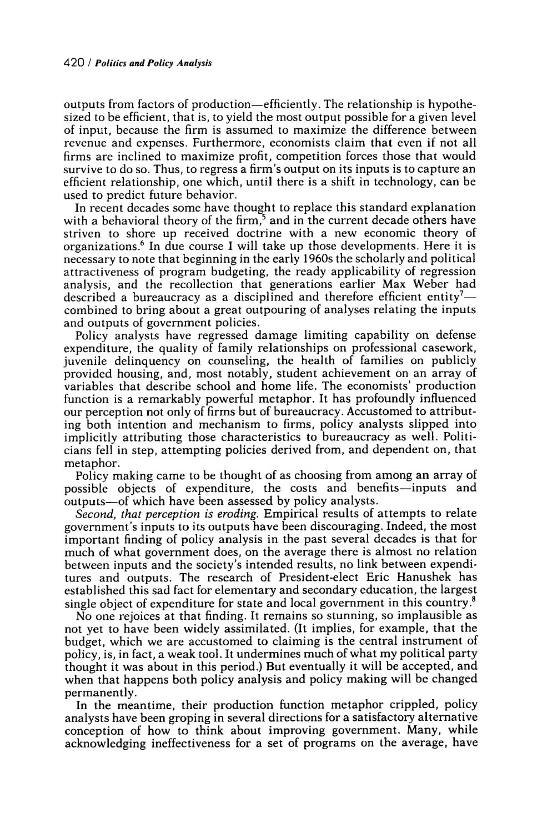outputs from factors of production-efficiently. The relationship is hypothesized to be efficient, that is, to yield the most output possible for a given level of input, because the firm is assumed to maximize the difference between revenue and expenses. Furthermore, economists claim that even if not all firms are inclined to maximize profit, competition forces those that would survive to do *so.* Thus, to regress a firm's output on its inputs is to capture an efficient relationship, one which, until there is a shift in technology, can be used to predict future behavior.

In recent decades some have thought to replace this standard explanation with a behavioral theory of the firm,<sup>5</sup> and in the current decade others have striven to shore up received doctrine with a new economic theory of organizatiom6 In due course I will take up those developments. Here it is necessary to note that beginning in the early **1960s** the scholarly and political attractiveness of program budgeting, the ready applicability of regression analysis, and the recollection that generations earlier Max Weber had described a bureaucracy as a disciplined and therefore efficient entity<sup>7</sup> combined to bring about a great outpouring of analyses relating the inputs and outputs of governrncnt policies.

Policy analysts have regressed damage limiting capability on defense expenditure, the quality of family relationships on professional casework, juvenile delinquency on counseling, the health of families on publicly provided housing, and, most notably, student achievement on an array of variables that describe school and home life. The economists' production function is a remarkably powerful metaphor. It has profoundly influenced our perception not only of firms but of bureaucracy. Accustomed to attributing both intention and mechanism to firms, policy analysts slipped into implicitly attributing those characteristics to bureaucracy as well. Politicians fell in step, attempting policies derived from, and dependent on, that metaphor.

Policy making came to be thought of as choosing from among an array of possible objects of expenditure, the costs and benefits-inputs and outputs-of which have been assessed by policy analysts.

*Second, that perception is eroding.* Empirical results of attempts to relate government's inputs to its outputs have been discouraging. Indeed, the most important finding of policy analysis in the past several decades is that for much of what government does, on the average there is almost no relation between inputs and the society's intended results, no link between expenditures and outputs. The research of President-elect Eric Hanushek has established this sad fact for elementary and secondary education, the largest single object of expenditure for state and local government in this country.\*

No one rejoices at that finding. It remains so stunning, so implausible as not yet to have been widely assimilated. (It implies, for example, that the budget, which we are accustomed to claiming is the central instrument of policy, is, in fact, a weak tool, It undermines much of what my political party thought it was about in this period.) But eventually it will be accepted, and when that happens both policy analysis and policy making will be changed permanently.

In the meantime, their production function metaphor crippled, policy analysts have been groping in several directions for a satisfactory alternative conception of how to think about improving government. Many, while acknowledging ineffectiveness for a set of programs on the average, have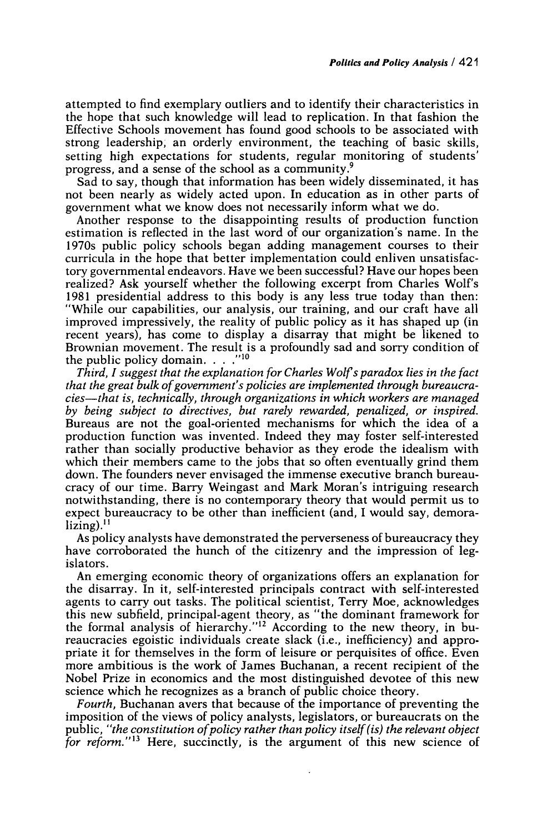attempted to find exemplary outliers and to identify their characteristics in the hope that such knowledge will lead to replication. In that fashion the Effective Schools movement has found good schools to be associated with strong leadership, an orderly environment, the teaching **of** basic skills, setting high expectations for students, regular monitoring of students' progress, and a sense of the school as a community.<sup>9</sup>

Sad to say, though that information has been widely disseminated, it has not been nearly as widely acted upon. In education as in other parts of government what we know does not necessarily inform what we do.

Another response to the disappointing results of production function estimation is reflected in the last word of our organization's name. In the 1970s public policy schools began adding management courses to their curricula in the hope that better implementation could enliven unsatisfactory governmental endeavors. Have we been successful? Have our hopes been realized? Ask yourself whether the following excerpt from Charles Wolf's 1981 presidential address to this body is any less true today than then: "While our capabilities, our analysis, our training, and our craft have all improved impressively, the reality of public policy as it has shaped up (in recent years), has come to display a disarray that might be likened to Brownian movement. The result is a profoundly sad and sorry condition of the public policy domain. . . **,"'O** 

Third, I suggest that the explanation for Charles Wolf's paradox lies in the fact *that the great bulk of government's policies are implemented through bureaucracies-that is, technically, through organizations in which workers are managed by being subject to directives, but rarely rewarded, penalized, or inspired.*  Bureaus are not the goal-oriented mechanisms for which the idea of a production function was invented. Indeed they may foster self-interested rather than socially productive behavior as they erode the idealism with which their members came to the jobs that so often eventually grind them down. The founders never envisaged the immense executive branch bureaucracy of our time. Barry Weingast and Mark Moran's intriguing research notwithstanding, there **is** no contemporary theory that would permit us to expect bureaucracy to be other than inefficient (and, I would say, demora $lizing$ ). $<sup>11</sup>$ </sup>

As policy analysts have demonstrated the perverseness of bureaucracy they have corroborated the hunch of the citizenry and the impression of legislators.

An emerging economic theory of organizations offers an explanation for the disarray. In it, self-interested principals contract with self-interested agents to carry out tasks. The political scientist, Terry Moe, acknowledges this new subfield, principal-agent theory, as "the dominant framework for the formal analysis of hierarchy."12 According to the new theory, in bureaucracies egoistic individuals create slack (i,e., inefficiency) and appropriate it for themselves in the form of leisure or perquisites of office. Even more ambitious is the work of James Buchanan, a recent recipient of the Nobel Prize in economics and the most distinguished devotee of this new science which he recognizes as a branch of public choice theory.

*Fourth,* Buchanan avers that because of the importance of preventing the imposition of the views of policy analysts, legislators, or bureaucrats on the public, "the constitution of policy rather than policy itself (is) the relevant object *for reform.*"<sup>13</sup> Here, succinctly, is the argument of this new science of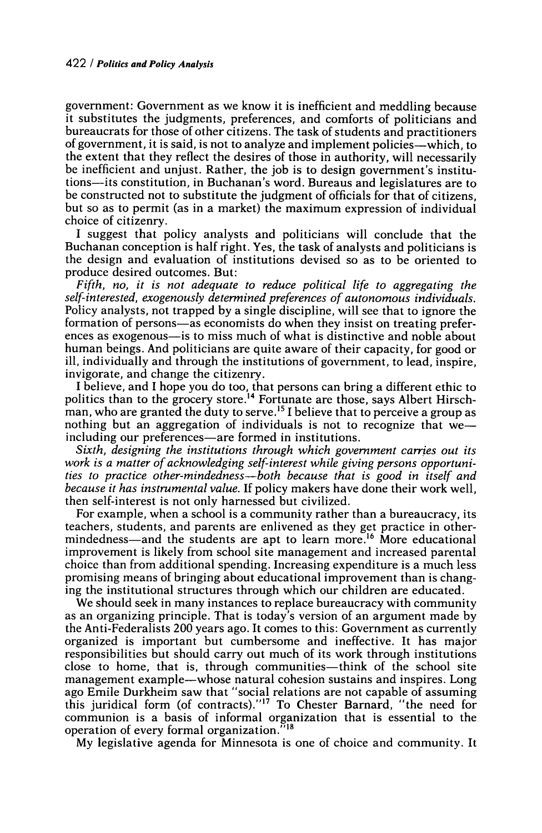government: Government as we know it is inefficient and meddling because it substitutes the judgments, preferences, and comforts of politicians and bureaucrats for those of other citizens. The task of students and practitioners of government, it is said, is not to analyze and implement policies-which, to the extent that they reflect the desires of those in authority, will necessarily be inefficient and unjust. Rather, the job is to design government's institutions-its constitution, in Buchanan's word. Bureaus and legislatures are to be constructed not to substitute the judgment of officials for that of citizens, but so as to permit (as in a market) the maximum expression of individual choice of citizenry.

**I** suggest that policy analysts and politicians will conclude that the Buchanan conception is half right. Yes, the task of analysts and politicians is the design and evaluation of institutions devised so as to be oriented to produce desired outcomes. But:

*Fifth, no, it is not adequate to reduce political life to aggregating the self-interested, exogenously determined preferences of autonomous individuals.*  Policy analysts, not trapped by a single discipline, will see that to ignore the formation of persons-as economists do when they insist on treating preferences as exogenous—is to miss much of what is distinctive and noble about human beings. And politicians are quite aware of their capacity, for good or ill, individually and through the institutions of government, to lead, inspire, invigorate, and change the citizenry.

I believe, and I hope you do too, that persons can bring a different ethic to politics than to the grocery store.<sup>14</sup> Fortunate are those, says Albert Hirschman, who are granted the duty to serve.<sup>15</sup> I believe that to perceive a group as nothing but an aggregation of individuals is not to recognize that weincluding our preferences—are formed in institutions.

*Sixth, designing the institutions through which government carnies out its work is a matter of acknowledging self-interest while giving persons opportunities to practice other-mindedness-both because that is good in itself and because it has instrumental value.* If policy makers have done their work well, then self-interest is not only harnessed but civilized.

For example, when a school is a community rather than a bureaucracy, its teachers, students, and parents are enlivened as they get practice in othermindedness—and the students are apt to learn more.<sup>16</sup> More educational improvement is likely from school site management and increased parental choice than from additional spending. Increasing expenditure is a much less promising means of bringing about educational improvement than is changing the institutional structures through which our children are educated.

We should seek in many instances to replace bureaucracy with community as an organizing principle. That is today's version of an argument made by the Anti-Federalists **200** years ago. **It** comes to this: Government as currently organized is important but cumbersome and ineffective. It has major responsibilities but should carry out much of its work through institutions close to home, that is, through communities—think of the school site management example-whose natural cohesion sustains and inspires. Long ago Emile Durkheim saw that "social relations are not capable of assuming this juridical form (of contract^)."'^ **To** Chester Barnard, "the need for communion is a basis of informal organization that is essential to the operation of every formal organization."<sup>18</sup>

My legislative agenda for Minnesota is one of choice and community. It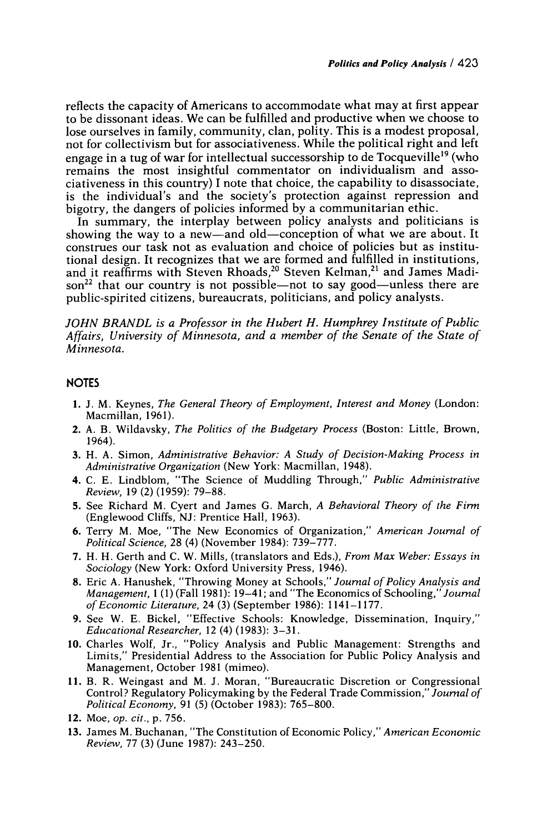reflects the capacity of Americans to accommodate what may at first appear to be dissonant ideas. We can be fulfilled and productive when we choose to lose ourselves in family, community, clan, polity. This is a modest proposal, not for collectivism but for associativeness. While the political right and left engage in a tug of war for intellectual successorship to de Tocqueville<sup>19</sup> (who remains the most insightful commentator on individualism and associativeness in this country) I note that choice, the capability to disassociate, is the individual's and the society's protection against repression and bigotry, the dangers of policies informed by a communitarian ethic.

In summary, the interplay between policy analysts and politicians is showing the way to a new-and old-conception of what we are about. It construes our task not as evaluation and choice of policies but as institutional design. It recognizes that we are formed and fulfilled in institutions, and it reaffirms with Steven Rhoads,<sup>20</sup> Steven Kelman,<sup>21</sup> and James Madi- $\text{son}^{22}$  that our country is not possible—not to say good—unless there are public-spirited citizens, bureaucrats, politicians, and policy analysts.

*JOHN BRANDL is a Professor in the Hubert H. Humphrey institute of Public Affairs, University of Minnesota, and a member of the Senate of the State of Minnesota.* 

## **NOTES**

- **1.** J. M. Keynes, *The General Theory of Employment, Interest and Money* (London: Macmillan, 1961).
- **2.** A. B. Wildavsky, *The Politics of the Budgetary Process* (Boston: Little, Brown, 1964).
- **3.** H. A. Simon, *Administrative Behavior: A Study of Decision-Making Process in Administrative Organization* (New York: Macmillan, 1948).
- **4.** C. E. Lindblom, "The Science of Muddling Through," *Public Administrative Review,* 19 (2) (1959): 79-88.
- **5.** See Richard M. Cyert and James *G.* March, *A Behavioral Theory of the Firm*  (Englewood Cliffs, NJ: Prentice Hall, 1963).
- **6.** Terry M. Moe, "The New Economics of Organization," *American Journal of Political Science,* 28 (4) (November 1984): 739-777.
- *7.* H. H. Gerth and C. W. Mills, (translators and Eds.), *From Max Weber: Essays in Sociology* (New York: Oxford University Press, 1946).
- **8.** Eric A. Hanushek, "Throwing Money at Schools," *Journal of Policy Analysis and Management,* **1** (1) (Fall 198 1): 19-41 ; and "The Economics of Schooling," *Journal of Economic Literature,* 24 (3) (September 1986): 1141-1 177.
- 9. See W. E. Bickel, "Effective Schools: Knowledge, Dissemination, Inquiry," *Educational Researcher,* 12 (4) (1983): 3-31.
- **10.** Charles Wolf, Jr., "Policy Analysis and Public Management: Strengths and Limits," Presidential Address to the Association for Public Policy Analysis and Management, October 1981 (mimeo).
- **11.** B. R. Weingast and M. J. Moran, "Bureaucratic Discretion or Congressional Control? Regulatory Policymaking by the Federal Trade Commission," *Journal of Political Economy,* 91 (5) (October 1983): 765-800.
- **12.** Moe, *op. cit.,* p. 756.
- **13.** James **M.** Buchanan, "The Constitution of Economic Policy," *American Economic Review,* 77 (3) (June 1987): 243-250.